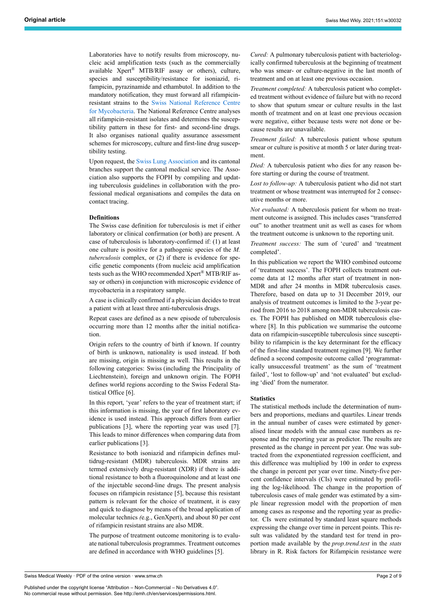Laboratories have to notify results from microscopy, nucleic acid amplification tests (such as the commercially available Xpert® MTB/RIF assay or others), culture, species and susceptibility/resistance for isoniazid, rifampicin, pyrazinamide and ethambutol. In addition to the mandatory notification, they must forward all rifampicinresistant strains to the [Swiss National Reference Centre](https://www.imm.uzh.ch/de/services/mycobacteriology/NZM.html) [for Mycobacteria.](https://www.imm.uzh.ch/de/services/mycobacteriology/NZM.html) The National Reference Centre analyses all rifampicin-resistant isolates and determines the susceptibility pattern in these for first- and second-line drugs. It also organises national quality assurance assessment schemes for microscopy, culture and first-line drug susceptibility testing.

Upon request, the [Swiss Lung Association](https://www.lungenliga.ch/) and its cantonal branches support the cantonal medical service. The Association also supports the FOPH by compiling and updating tuberculosis guidelines in collaboration with the professional medical organisations and compiles the data on contact tracing.

## **Definitions**

The Swiss case definition for tuberculosis is met if either laboratory or clinical confirmation (or both) are present. A case of tuberculosis is laboratory-confirmed if: (1) at least one culture is positive for a pathogenic species of the *M. tuberculosis* complex, or (2) if there is evidence for specific genetic components (from nucleic acid amplification tests such as the WHO recommended Xpert® MTB/RIF assay or others) in conjunction with microscopic evidence of mycobacteria in a respiratory sample.

A case is clinically confirmed if a physician decides to treat a patient with at least three anti-tuberculosis drugs.

Repeat cases are defined as a new episode of tuberculosis occurring more than 12 months after the initial notification.

Origin refers to the country of birth if known. If country of birth is unknown, nationality is used instead. If both are missing, origin is missing as well. This results in the following categories: Swiss (including the Principality of Liechtenstein), foreign and unknown origin. The FOPH defines world regions according to the Swiss Federal Statistical Office [6].

In this report, 'year' refers to the year of treatment start; if this information is missing, the year of first laboratory evidence is used instead. This approach differs from earlier publications [3], where the reporting year was used [7]. This leads to minor differences when comparing data from earlier publications [3].

Resistance to both isoniazid and rifampicin defines multidrug-resistant (MDR) tuberculosis. MDR strains are termed extensively drug-resistant (XDR) if there is additional resistance to both a fluoroquinolone and at least one of the injectable second-line drugs. The present analysis focuses on rifampicin resistance [5], because this resistant pattern is relevant for the choice of treatment, it is easy and quick to diagnose by means of the broad application of molecular technics *(*e.g., GenXpert), and about 80 per cent of rifampicin resistant strains are also MDR.

The purpose of treatment outcome monitoring is to evaluate national tuberculosis programmes. Treatment outcomes are defined in accordance with WHO guidelines [5].

*Cured:* A pulmonary tuberculosis patient with bacteriologically confirmed tuberculosis at the beginning of treatment who was smear- or culture-negative in the last month of treatment and on at least one previous occasion.

*Treatment completed:* A tuberculosis patient who completed treatment without evidence of failure but with no record to show that sputum smear or culture results in the last month of treatment and on at least one previous occasion were negative, either because tests were not done or because results are unavailable.

*Treatment failed:* A tuberculosis patient whose sputum smear or culture is positive at month 5 or later during treatment.

*Died:* A tuberculosis patient who dies for any reason before starting or during the course of treatment.

*Lost to follow-up:* A tuberculosis patient who did not start treatment or whose treatment was interrupted for 2 consecutive months or more.

*Not evaluated:* A tuberculosis patient for whom no treatment outcome is assigned. This includes cases "transferred out" to another treatment unit as well as cases for whom the treatment outcome is unknown to the reporting unit.

*Treatment success:* The sum of 'cured' and 'treatment completed'.

In this publication we report the WHO combined outcome of 'treatment success'. The FOPH collects treatment outcome data at 12 months after start of treatment in non-MDR and after 24 months in MDR tuberculosis cases. Therefore, based on data up to 31 December 2019, our analysis of treatment outcomes is limited to the 3-year period from 2016 to 2018 among non-MDR tuberculosis cases. The FOPH has published on MDR tuberculosis elsewhere [8]. In this publication we summarise the outcome data on rifampicin-susceptible tuberculosis since susceptibility to rifampicin is the key determinant for the efficacy of the first-line standard treatment regimen [9]. We further defined a second composite outcome called 'programmatically unsuccessful treatment' as the sum of 'treatment failed', 'lost to follow-up' and 'not evaluated' but excluding 'died' from the numerator.

### **Statistics**

The statistical methods include the determination of numbers and proportions, medians and quartiles. Linear trends in the annual number of cases were estimated by generalised linear models with the annual case numbers as response and the reporting year as predictor. The results are presented as the change in percent per year. One was subtracted from the exponentiated regression coefficient, and this difference was multiplied by 100 in order to express the change in percent per year over time. Ninety-five percent confidence intervals (CIs) were estimated by profiling the log-likelihood. The change in the proportion of tuberculosis cases of male gender was estimated by a simple linear regression model with the proportion of men among cases as response and the reporting year as predictor. CIs were estimated by standard least square methods expressing the change over time in percent points. This result was validated by the standard test for trend in proportion made available by the *prop.trend.test* in the *stats* library in R. Risk factors for Rifampicin resistance were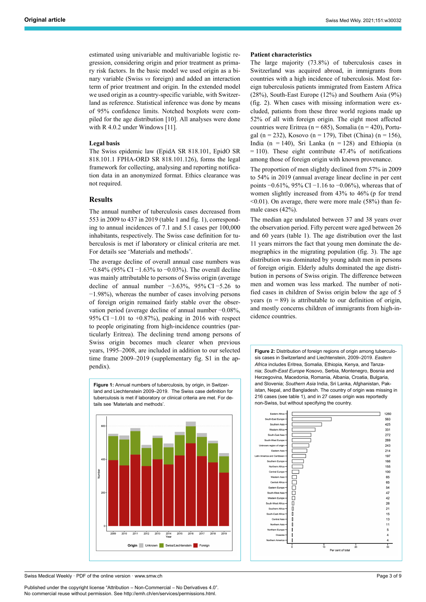estimated using univariable and multivariable logistic regression, considering origin and prior treatment as primary risk factors. In the basic model we used origin as a binary variable (Swiss *vs* foreign) and added an interaction term of prior treatment and origin. In the extended model we used origin as a country-specific variable, with Switzerland as reference. Statistical inference was done by means of 95% confidence limits. Notched boxplots were compiled for the age distribution [10]. All analyses were done with R 4.0.2 under Windows [11].

#### **Legal basis**

The Swiss epidemic law (EpidA SR 818.101, EpidO SR 818.101.1 FPHA-ORD SR 818.101.126), forms the legal framework for collecting, analysing and reporting notification data in an anonymized format. Ethics clearance was not required.

## **Results**

The annual number of tuberculosis cases decreased from 553 in 2009 to 437 in 2019 (table 1 and fig. 1), corresponding to annual incidences of 7.1 and 5.1 cases per 100,000 inhabitants, respectively. The Swiss case definition for tuberculosis is met if laboratory or clinical criteria are met. For details see 'Materials and methods'.

The average decline of overall annual case numbers was −0.84% (95% CI −1.63% to −0.03%). The overall decline was mainly attributable to persons of Swiss origin (average decline of annual number −3.63%, 95% CI −5.26 to −1.98%), whereas the number of cases involving persons of foreign origin remained fairly stable over the observation period (average decline of annual number −0.08%, 95% CI −1.01 to +0.87%), peaking in 2016 with respect to people originating from high-incidence countries (particularly Eritrea). The declining trend among persons of Swiss origin becomes much clearer when previous years, 1995–2008, are included in addition to our selected time frame 2009–2019 (supplementary fig. S1 in the appendix).

**Figure 1:**Annual numbers of tuberculosis, by origin, in Switzer-



#### **Patient characteristics**

The large majority (73.8%) of tuberculosis cases in Switzerland was acquired abroad, in immigrants from countries with a high incidence of tuberculosis. Most foreign tuberculosis patients immigrated from Eastern Africa (28%), South-East Europe (12%) and Southern Asia (9%) (fig. 2). When cases with missing information were excluded, patients from these three world regions made up 52% of all with foreign origin. The eight most affected countries were Eritrea ( $n = 685$ ), Somalia ( $n = 420$ ), Portugal (n = 232), Kosovo (n = 179), Tibet (China) (n = 156), India (n = 140), Sri Lanka (n = 128) and Ethiopia (n  $= 110$ ). These eight contribute 47.4% of notifications among those of foreign origin with known provenance.

The proportion of men slightly declined from 57% in 2009 to 54% in 2019 (annual average linear decline in per cent points −0.61%, 95% CI −1.16 to −0.06%), whereas that of women slightly increased from 43% to 46% (p for trend  $\leq 0.01$ ). On average, there were more male (58%) than female cases (42%).

The median age undulated between 37 and 38 years over the observation period. Fifty percent were aged between 26 and 60 years (table 1). The age distribution over the last 11 years mirrors the fact that young men dominate the demographics in the migrating population (fig. 3). The age distribution was dominated by young adult men in persons of foreign origin. Elderly adults dominated the age distribution in persons of Swiss origin. The difference between men and women was less marked. The number of notified cases in children of Swiss origin below the age of 5 years ( $n = 89$ ) is attributable to our definition of origin, and mostly concerns children of immigrants from high-incidence countries.

**Figure 2:**Distribution of foreign regions of origin among tuberculosis cases in Switzerland and Liechtenstein, 2009–2019. *EasternAfrica* includes Eritrea, Somalia, Ethiopia, Kenya, and Tanza-nia;*South-East Europe*Kosovo, Serbia, Montenegro, Bosnia andHerzegovina, Macedonia, Romania, Albania, Croatia, Bulgaria,and Slovenia; *Southern Asia*India, Sri Lanka, Afghanistan, Pak-istan, Nepal, and Bangladesh. The country of origin was missing in216 cases (see table 1), and in 27 cases origin was reportedlynon-Swiss, but without specifying the country.



Swiss Medical Weekly · PDF of the online version · www.smw.ch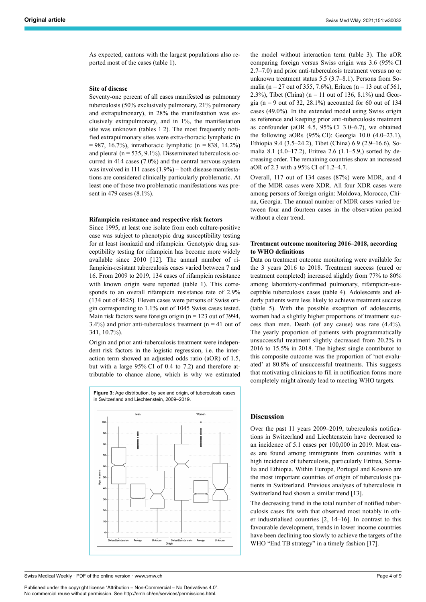As expected, cantons with the largest populations also reported most of the cases (table 1).

### **Site of disease**

Seventy-one percent of all cases manifested as pulmonary tuberculosis (50% exclusively pulmonary, 21% pulmonary and extrapulmonary), in 28% the manifestation was exclusively extrapulmonary, and in 1%, the manifestation site was unknown (tables 1 2). The most frequently notified extrapulmonary sites were extra-thoracic lymphatic (n  $= 987, 16.7\%$ , intrathoracic lymphatic (n = 838, 14.2%) and pleural ( $n = 535, 9.1\%$ ). Disseminated tuberculosis occurred in 414 cases (7.0%) and the central nervous system was involved in 111 cases (1.9%) – both disease manifestations are considered clinically particularly problematic. At least one of those two problematic manifestations was present in 479 cases (8.1%).

#### **Rifampicin resistance and respective risk factors**

Since 1995, at least one isolate from each culture-positive case was subject to phenotypic drug susceptibility testing for at least isoniazid and rifampicin. Genotypic drug susceptibility testing for rifampicin has become more widely available since 2010 [12]. The annual number of rifampicin-resistant tuberculosis cases varied between 7 and 16. From 2009 to 2019, 134 cases of rifampicin resistance with known origin were reported (table 1). This corresponds to an overall rifampicin resistance rate of 2.9% (134 out of 4625). Eleven cases were persons of Swiss origin corresponding to 1.1% out of 1045 Swiss cases tested. Main risk factors were foreign origin ( $n = 123$  out of 3994, 3.4%) and prior anti-tuberculosis treatment ( $n = 41$  out of 341, 10.7%).

Origin and prior anti-tuberculosis treatment were independent risk factors in the logistic regression, i.e. the interaction term showed an adjusted odds ratio (aOR) of 1.5, but with a large 95% CI of 0.4 to 7.2) and therefore attributable to chance alone, which is why we estimated



Swiss Medical Weekly · PDF of the online version · www.smw.ch

Published under the copyright license "Attribution – Non-Commercial – No Derivatives 4.0". No commercial reuse without permission. See http://emh.ch/en/services/permissions.html.

the model without interaction term (table 3). The aOR comparing foreign versus Swiss origin was 3.6 (95% CI 2.7–7.0) and prior anti-tuberculosis treatment versus no or unknown treatment status 5.5 (3.7–8.1). Persons from Somalia (n = 27 out of 355, 7.6%), Eritrea (n = 13 out of 561, 2.3%), Tibet (China) ( $n = 11$  out of 136, 8.1%) und Georgia ( $n = 9$  out of 32, 28.1%) accounted for 60 out of 134 cases (49.0%). In the extended model using Swiss origin as reference and keeping prior anti-tuberculosis treatment as confounder (aOR 4.5, 95% CI 3.0–6.7), we obtained the following aORs (95% CI): Georgia 10.0 (4.0–23.1), Ethiopia 9.4 (3.5–24.2), Tibet (China) 6.9 (2.9–16.6), Somalia 8.1 (4.0–17.2), Eritrea 2.6 (1.1–5.9,) sorted by decreasing order. The remaining countries show an increased aOR of 2.3 with a 95% CI of 1.2–4.7.

Overall, 117 out of 134 cases (87%) were MDR, and 4 of the MDR cases were XDR. All four XDR cases were among persons of foreign origin: Moldova, Morocco, China, Georgia. The annual number of MDR cases varied between four and fourteen cases in the observation period without a clear trend.

### **Treatment outcome monitoring 2016–2018, according to WHO definitions**

Data on treatment outcome monitoring were available for the 3 years 2016 to 2018. Treatment success (cured or treatment completed) increased slightly from 77% to 80% among laboratory-confirmed pulmonary, rifampicin-susceptible tuberculosis cases (table 4). Adolescents and elderly patients were less likely to achieve treatment success (table 5). With the possible exception of adolescents, women had a slightly higher proportions of treatment success than men. Death (of any cause) was rare (4.4%). The yearly proportion of patients with programmatically unsuccessful treatment slightly decreased from 20.2% in 2016 to 15.5% in 2018. The highest single contributor to this composite outcome was the proportion of 'not evaluated' at 80.8% of unsuccessful treatments. This suggests that motivating clinicians to fill in notification forms more completely might already lead to meeting WHO targets.

## **Discussion**

Over the past 11 years 2009–2019, tuberculosis notifications in Switzerland and Liechtenstein have decreased to an incidence of 5.1 cases per 100,000 in 2019. Most cases are found among immigrants from countries with a high incidence of tuberculosis, particularly Eritrea, Somalia and Ethiopia. Within Europe, Portugal and Kosovo are the most important countries of origin of tuberculosis patients in Switzerland. Previous analyses of tuberculosis in Switzerland had shown a similar trend [13].

The decreasing trend in the total number of notified tuberculosis cases fits with that observed most notably in other industrialised countries [2, 14–16]. In contrast to this favourable development, trends in lower income countries have been declining too slowly to achieve the targets of the WHO "End TB strategy" in a timely fashion [17].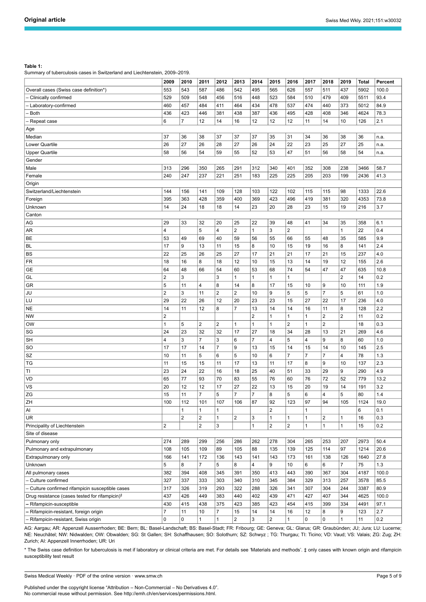### **Table 1:**

Summary of tuberculosis cases in Switzerland and Liechtenstein, 2009–2019.

|                                                   | 2009           | 2010           | 2011                    | 2012           | 2013                    | 2014           | 2015             | 2016             | 2017           | 2018           | 2019           | <b>Total</b> | Percent |
|---------------------------------------------------|----------------|----------------|-------------------------|----------------|-------------------------|----------------|------------------|------------------|----------------|----------------|----------------|--------------|---------|
| Overall cases (Swiss case definition*)            | 553            | 543            | 587                     | 486            | 542                     | 495            | 565              | 626              | 557            | 511            | 437            | 5902         | 100.0   |
| Clinically confirmed                              | 529            | 509            | 548                     | 456            | 516                     | 448            | 523              | 584              | 510            | 479            | 409            | 5511         | 93.4    |
| Laboratory-confirmed                              | 460            | 457            | 484                     | 411            | 464                     | 434            | 478              | 537              | 474            | 440            | 373            | 5012         | 84.9    |
| <b>Both</b>                                       | 436            | 423            | 446                     | 381            | 438                     | 387            | 436              | 495              | 428            | 408            | 346            | 4624         | 78.3    |
| Repeat case                                       | 6              | $\overline{7}$ | 12                      | 14             | 16                      | 12             | 12               | 12               | 11             | 14             | 10             | 126          | 2.1     |
| Age                                               |                |                |                         |                |                         |                |                  |                  |                |                |                |              |         |
| Median                                            | 37             | 36             | 38                      | 37             | 37                      | 37             | 35               | 31               | 34             | 36             | 38             | 36           | n.a.    |
| Lower Quartile                                    | 26             | 27             | 26                      | 28             | 27                      | 26             | 24               | 22               | 23             | 25             | 27             | 25           | n.a.    |
| <b>Upper Quartile</b>                             | 58             | 56             | 54                      | 59             | 55                      | 52             | 53               | 47               | 51             | 56             | 58             | 54           | n.a.    |
| Gender                                            |                |                |                         |                |                         |                |                  |                  |                |                |                |              |         |
| Male                                              | 313            | 296            | 350                     | 265            | 291                     | 312            | 340              | 401              | 352            | 308            | 238            | 3466         | 58.7    |
| Female                                            | 240            | 247            | 237                     | 221            | 251                     | 183            | 225              | 225              | 205            | 203            | 199            | 2436         | 41.3    |
| Origin                                            |                |                |                         |                |                         |                |                  |                  |                |                |                |              |         |
| Switzerland/Liechtenstein                         | 144            | 156            | 141                     | 109            | 128                     | 103            | 122              | 102              | 115            | 115            | 98             | 1333         | 22.6    |
| Foreign                                           | 395            | 363            | 428                     | 359            | 400                     | 369            | 423              | 496              | 419            | 381            | 320            | 4353         | 73.8    |
| Unknown                                           | 14             | 24             | 18                      | 18             | 14                      | 23             | 20               | 28               | 23             | 15             | 19             | 216          | 3.7     |
| Canton                                            |                |                |                         |                |                         |                |                  |                  |                |                |                |              |         |
| AG                                                | 29             | 33             | 32                      | 20             | 25                      | 22             | 39               | 48               | 41             | 34             | 35             | 358          | 6.1     |
|                                                   | 4              |                | 5                       | 4              | $\overline{\mathbf{c}}$ | $\mathbf{1}$   | 3                | $\boldsymbol{2}$ |                |                | 1              | 22           | 0.4     |
| AR                                                |                | 49             | 69                      |                |                         | 56             | 55               |                  |                |                | 35             | 585          | 9.9     |
| <b>BE</b>                                         | 53<br>17       | 9              | 13                      | 40<br>11       | 59<br>15                |                | 10               | 66<br>15         | 55<br>19       | 48             | 8              | 141          | 2.4     |
| <b>BL</b>                                         |                |                |                         |                |                         | 8              |                  |                  |                | 16             |                |              |         |
| BS                                                | 22             | 25             | 26<br>8                 | 25             | 27                      | 17             | 21               | 21               | 17             | 21             | 15             | 237          | 4.0     |
| <b>FR</b>                                         | 18             | 16             |                         | 18             | 12                      | 10             | 15               | 13               | 14             | 19             | 12             | 155          | 2.6     |
| GE                                                | 64             | 48             | 66                      | 54             | 60                      | 53             | 68               | 74               | 54             | 47             | 47             | 635          | 10.8    |
| GL                                                | $\overline{2}$ | 3              |                         | 3              | 1                       | 1              | 1                | $\mathbf{1}$     |                |                | $\overline{2}$ | 14           | 0.2     |
| GR                                                | 5              | 11             | $\overline{4}$          | 8              | 14                      | 8              | 17               | 15               | 10             | 9              | 10             | 111          | 1.9     |
| JU                                                | $\mathbf 2$    | 3              | 11                      | $\mathbf 2$    | $\overline{c}$          | 10             | 9                | 5                | 5              | $\overline{7}$ | 5              | 61           | 1.0     |
| LU                                                | 29             | 22             | 26                      | 12             | 20                      | 23             | 23               | 15               | 27             | 22             | 17             | 236          | 4.0     |
| NE                                                | 14             | 11             | 12                      | 8              | $\overline{7}$          | 13             | 14               | 14               | 16             | 11             | 8              | 128          | 2.2     |
| <b>NW</b>                                         | $\overline{2}$ |                |                         |                |                         | $\overline{2}$ | 1                | $\mathbf{1}$     | $\mathbf{1}$   | $\overline{2}$ | $\overline{2}$ | 11           | 0.2     |
| <b>OW</b>                                         | $\mathbf{1}$   | 5              | $\overline{\mathbf{c}}$ | $\overline{c}$ | 1                       | $\mathbf{1}$   | 1                | $\boldsymbol{2}$ | $\mathbf{1}$   | $\sqrt{2}$     |                | 18           | 0.3     |
| SG                                                | 24             | 23             | 32                      | 32             | 17                      | 27             | 18               | 34               | 28             | 13             | 21             | 269          | 4.6     |
| SH                                                | 4              | 3              | $\overline{7}$          | 3              | 6                       | $\overline{7}$ | 4                | 5                | 4              | 9              | 8              | 60           | 1.0     |
| <b>SO</b>                                         | 17             | 17             | 14                      | $\overline{7}$ | 9                       | 13             | 15               | 14               | 15             | 14             | 10             | 145          | 2.5     |
| SZ                                                | 10             | 11             | 5                       | 6              | 5                       | 10             | 6                | $\overline{7}$   | $\overline{7}$ | $\overline{7}$ | $\overline{4}$ | 78           | 1.3     |
| TG                                                | 11             | 15             | 15                      | 11             | 17                      | 13             | 11               | 17               | 8              | 9              | 10             | 137          | 2.3     |
| TI                                                | 23             | 24             | 22                      | 16             | 18                      | 25             | 40               | 51               | 33             | 29             | 9              | 290          | 4.9     |
| VD                                                | 65             | 77             | 93                      | 70             | 83                      | 55             | 76               | 60               | 76             | 72             | 52             | 779          | 13.2    |
| VS                                                | 20             | 12             | 12                      | 17             | 27                      | 22             | 13               | 15               | 20             | 19             | 14             | 191          | 3.2     |
| ZG                                                | 15             | 11             | $\overline{7}$          | 5              | $\overline{7}$          | $\overline{7}$ | 8                | 5                | 6              | $\overline{4}$ | 5              | 80           | 1.4     |
| ZH                                                | 100            | 112            | 101                     | 107            | 106                     | 87             | 92               | 123              | 97             | 94             | 105            | 1124         | 19.0    |
| Al                                                |                | $\overline{1}$ | $\mathbf{1}$            | $\mathbf{1}$   |                         |                | $\overline{2}$   |                  | 1              |                |                | 6            | 0.1     |
| UR                                                |                | $\overline{2}$ | $\overline{2}$          | $\mathbf{1}$   | $\boldsymbol{2}$        | 3              | $\mathbf{1}$     | $\mathbf{1}$     | $\mathbf{1}$   | $\overline{2}$ | $\mathbf{1}$   | 16           | 0.3     |
| Principality of Liechtenstein                     | $\overline{2}$ |                | $\overline{2}$          | 3              |                         | 1              | $\boldsymbol{2}$ | $\boldsymbol{2}$ | 1              | $\mathbf{1}$   | $\mathbf{1}$   | 15           | 0.2     |
| Site of disease                                   |                |                |                         |                |                         |                |                  |                  |                |                |                |              |         |
| Pulmonary only                                    | 274            | 289            | 299                     | 256            | 286                     | 262            | 278              | 304              | 265            | 253            | 207            | 2973         | 50.4    |
| Pulmonary and extrapulmonary                      | 108            | 105            | 109                     | 89             | 105                     | 88             | 135              | 139              | 125            | 114            | 97             | 1214         | 20.6    |
| Extrapulmonary only                               | 166            | 141            | 172                     | 136            | 143                     | 141            | 143              | 173              | 161            | 138            | 126            | 1640         | 27.8    |
| Unknown                                           | 5              | 8              | $\overline{7}$          | 5              | 8                       | $\overline{4}$ | 9                | 10               | 6              | 6              | $\overline{7}$ | 75           | 1.3     |
| All pulmonary cases                               | 382            | 394            | 408                     | 345            | 391                     | 350            | 413              | 443              | 390            | 367            | 304            | 4187         | 100.0   |
| Culture confirmed                                 | 327            | 337            | 333                     | 303            | 340                     | 310            | 345              | 384              | 329            | 313            | 257            | 3578         | 85.5    |
| Culture confirmed rifampicin susceptible cases    | 317            | 326            | 319                     | 293            | 322                     | 288            | 326              | 341              | 307            | 304            | 244            | 3387         | 80.9    |
| Drug resistance (cases tested for rifampicin) $‡$ | 437            | 426            | 449                     | 383            | 440                     | 402            | 439              | 471              | 427            | 407            | 344            | 4625         | 100.0   |
| - Rifampicin-susceptible                          | 430            | 415            | 438                     | 375            | 423                     | 385            | 423              | 454              | 415            | 399            | 334            | 4491         | 97.1    |
| Rifampicin-resistant, foreign origin              | $\overline{7}$ | 11             | 10                      | $\overline{7}$ | 15                      | 14             | 14               | 16               | 12             | 8              | 9              | 123          | 2.7     |
| Rifampicin-resistant, Swiss origin                | $\pmb{0}$      | 0              | $\mathbf{1}$            | $\mathbf{1}$   | $\overline{2}$          | 3              | $\overline{2}$   | $\mathbf{1}$     | 0              | $\pmb{0}$      | $\mathbf{1}$   | 11           | 0.2     |

AG: Aargau; AR: Appenzell Ausserrhoden; BE: Bern; BL: Basel-Landschaft; BS: Basel-Stadt; FR: Fribourg; GE: Geneva; GL: Glarus; GR: Graubünden; JU; Jura; LU: Lucerne; NE: Neuchâtel; NW: Nidwalden; OW: Obwalden; SG: St Gallen; SH: Schaffhausen; SO: Solothurn; SZ: Schwyz ; TG: Thurgau; TI: Ticino; VD: Vaud; VS: Valais; ZG: Zug; ZH: Zurich; AI: Appenzell Innerrhoden; UR: Uri

\* The Swiss case definition for tuberculosis is met if laboratory or clinical criteria are met. For details see 'Materials and methods'. ‡ only cases with known origin and rifampicin susceptibility test result

Swiss Medical Weekly · PDF of the online version · www.smw.ch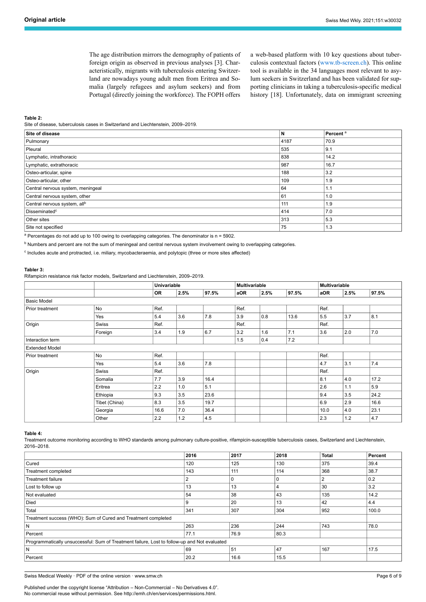The age distribution mirrors the demography of patients of foreign origin as observed in previous analyses [3]. Characteristically, migrants with tuberculosis entering Switzerland are nowadays young adult men from Eritrea and Somalia (largely refugees and asylum seekers) and from Portugal (directly joining the workforce). The FOPH offers a web-based platform with 10 key questions about tuberculosis contextual factors ([www.tb-screen.ch](http://www.tb-screen.ch/)). This online tool is available in the 34 languages most relevant to asylum seekers in Switzerland and has been validated for supporting clinicians in taking a tuberculosis-specific medical history [18]. Unfortunately, data on immigrant screening

**Table 2:**

Site of disease, tuberculosis cases in Switzerland and Liechtenstein, 2009–2019.

| Site of disease                          | N    | Percent <sup>a</sup> |
|------------------------------------------|------|----------------------|
| Pulmonary                                | 4187 | 70.9                 |
| Pleural                                  | 535  | 9.1                  |
| Lymphatic, intrathoracic                 | 838  | 14.2                 |
| Lymphatic, extrathoracic                 | 987  | 16.7                 |
| Osteo-articular, spine                   | 188  | 3.2                  |
| Osteo-articular, other                   | 109  | 1.9                  |
| Central nervous system, meningeal        | 64   | 1.1                  |
| Central nervous system, other            | 61   | 1.0                  |
| Central nervous system, all <sup>b</sup> | 111  | 1.9                  |
| Disseminated <sup>c</sup>                | 414  | 7.0                  |
| Other sites                              | 313  | 5.3                  |
| Site not specified                       | 75   | 1.3                  |

 $a$  Percentages do not add up to 100 owing to overlapping categories. The denominator is  $n = 5902$ .

**b Numbers and percent are not the sum of meningeal and central nervous system involvement owing to overlapping categories.** 

<sup>c</sup> Includes acute and protracted, i.e. miliary, mycobacteraemia, and polytopic (three or more sites affected)

#### **Tabler 3:**

Rifampicin resistance risk factor models, Switzerland and Liechtenstein, 2009–2019.

|                       |               | <b>Univariable</b> |      |       | <b>Multivariable</b>                                                                                                                   |      | <b>Multivariable</b> |      |      |       |
|-----------------------|---------------|--------------------|------|-------|----------------------------------------------------------------------------------------------------------------------------------------|------|----------------------|------|------|-------|
|                       |               | OR                 | 2.5% | 97.5% | aOR                                                                                                                                    | 2.5% | 97.5%                | aOR  | 2.5% | 97.5% |
| <b>Basic Model</b>    |               |                    |      |       |                                                                                                                                        |      |                      |      |      |       |
| Prior treatment       | No            | Ref.               |      |       | Ref.                                                                                                                                   |      |                      | Ref. |      |       |
|                       | Yes           | 5.4                | 3.6  | 7.8   | 3.9<br>0.8<br>3.7<br>13.6<br>5.5<br>Ref.<br>Ref.<br>3.2<br>7.1<br>1.6<br>3.6<br>2.0<br>7.2<br>0.4<br>1.5<br>Ref.<br>3.1<br>4.7<br>Ref. | 8.1  |                      |      |      |       |
| Origin                | Swiss         | Ref.               |      |       |                                                                                                                                        |      |                      |      |      |       |
|                       | Foreign       | 3.4                | 1.9  | 6.7   |                                                                                                                                        |      |                      |      |      | 7.0   |
| Interaction term      |               |                    |      |       |                                                                                                                                        |      |                      |      |      |       |
| <b>Extended Model</b> |               |                    |      |       |                                                                                                                                        |      |                      |      |      |       |
| Prior treatment       | No            | Ref.               |      |       |                                                                                                                                        |      |                      |      |      |       |
|                       | Yes           | 5.4                | 3.6  | 7.8   |                                                                                                                                        |      |                      |      |      | 7.4   |
| Origin                | Swiss         | Ref.               |      |       |                                                                                                                                        |      |                      |      |      |       |
|                       | Somalia       | 7.7                | 3.9  | 16.4  |                                                                                                                                        |      |                      | 8.1  | 4.0  | 17.2  |
|                       | Eritrea       | 2.2                | 1.0  | 5.1   |                                                                                                                                        |      |                      | 2.6  | 1.1  | 5.9   |
|                       | Ethiopia      | 9.3                | 3.5  | 23.6  |                                                                                                                                        |      |                      | 9.4  | 3.5  | 24.2  |
|                       | Tibet (China) | 8.3                | 3.5  | 19.7  |                                                                                                                                        |      |                      | 6.9  | 2.9  | 16.6  |
|                       | Georgia       | 16.6               | 7.0  | 36.4  |                                                                                                                                        |      |                      | 10.0 | 4.0  | 23.1  |
|                       | Other         | 2.2                | 1.2  | 4.5   |                                                                                                                                        |      |                      | 2.3  | 1.2  | 4.7   |

#### **Table 4:**

Treatment outcome monitoring according to WHO standards among pulmonary culture-positive, rifampicin-susceptible tuberculosis cases, Switzerland and Liechtenstein, 2016–2018.

|                                                                                              | 2016 | 2017 | 2018 | <b>Total</b> | Percent |  |  |  |
|----------------------------------------------------------------------------------------------|------|------|------|--------------|---------|--|--|--|
| Cured                                                                                        | 120  | 125  | 130  | 375          | 39.4    |  |  |  |
| Treatment completed                                                                          | 143  | 111  | 114  | 368          | 38.7    |  |  |  |
| Treatment failure                                                                            | 2    | 0    | 0    |              | 0.2     |  |  |  |
| Lost to follow up                                                                            | 13   | 13   | 4    | 30           | 3.2     |  |  |  |
| Not evaluated                                                                                | 54   | 38   | 43   | 135          | 14.2    |  |  |  |
| Died                                                                                         | 9    | 20   | 13   | 42           | 4.4     |  |  |  |
| Total                                                                                        | 341  | 307  | 304  | 952          | 100.0   |  |  |  |
| Treatment success (WHO): Sum of Cured and Treatment completed                                |      |      |      |              |         |  |  |  |
| ١N                                                                                           | 263  | 236  | 244  | 743          | 78.0    |  |  |  |
| Percent                                                                                      | 77.1 | 76.9 | 80.3 |              |         |  |  |  |
| Programmatically unsuccessful: Sum of Treatment failure, Lost to follow-up and Not evaluated |      |      |      |              |         |  |  |  |
| ١N                                                                                           | 69   | 51   | 47   | 167          | 17.5    |  |  |  |
| Percent                                                                                      | 20.2 | 16.6 | 15.5 |              |         |  |  |  |
|                                                                                              |      |      |      |              |         |  |  |  |

Swiss Medical Weekly · PDF of the online version · www.smw.ch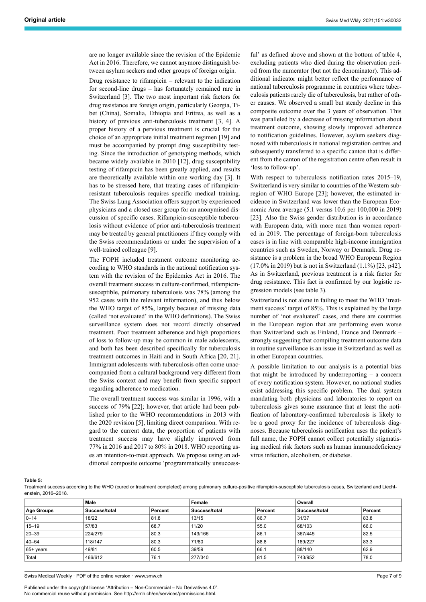are no longer available since the revision of the Epidemic Act in 2016. Therefore, we cannot anymore distinguish between asylum seekers and other groups of foreign origin.

Drug resistance to rifampicin – relevant to the indication for second-line drugs – has fortunately remained rare in Switzerland [3]. The two most important risk factors for drug resistance are foreign origin, particularly Georgia, Tibet (China), Somalia, Ethiopia and Eritrea, as well as a history of previous anti-tuberculosis treatment [3, 4]. A proper history of a pervious treatment is crucial for the choice of an appropriate initial treatment regimen [19] and must be accompanied by prompt drug susceptibility testing. Since the introduction of genotyping methods, which became widely available in 2010 [12], drug susceptibility testing of rifampicin has been greatly applied, and results are theoretically available within one working day [3]. It has to be stressed here, that treating cases of rifampicinresistant tuberculosis requires specific medical training. The Swiss Lung Association offers support by experienced physicians and a closed user group for an anonymised discussion of specific cases. Rifampicin-susceptible tuberculosis without evidence of prior anti-tuberculosis treatment may be treated by general practitioners if they comply with the Swiss recommendations or under the supervision of a well-trained colleague [9].

The FOPH included treatment outcome monitoring according to WHO standards in the national notification system with the revision of the Epidemics Act in 2016. The overall treatment success in culture-confirmed, rifampicinsusceptible, pulmonary tuberculosis was 78% (among the 952 cases with the relevant information), and thus below the WHO target of 85%, largely because of missing data (called 'not evaluated' in the WHO definitions). The Swiss surveillance system does not record directly observed treatment. Poor treatment adherence and high proportions of loss to follow-up may be common in male adolescents, and both has been described specifically for tuberculosis treatment outcomes in Haiti and in South Africa [20, 21]. Immigrant adolescents with tuberculosis often come unaccompanied from a cultural background very different from the Swiss context and may benefit from specific support regarding adherence to medication.

The overall treatment success was similar in 1996, with a success of 79% [22]; however, that article had been published prior to the WHO recommendations in 2013 with the 2020 revision [5], limiting direct comparison. With regard to the current data, the proportion of patients with treatment success may have slightly improved from 77% in 2016 and 2017 to 80% in 2018. WHO reporting uses an intention-to-treat approach. We propose using an additional composite outcome 'programmatically unsuccessful' as defined above and shown at the bottom of table 4, excluding patients who died during the observation period from the numerator (but not the denominator). This additional indicator might better reflect the performance of national tuberculosis programme in countries where tuberculosis patients rarely die of tuberculosis, but rather of other causes. We observed a small but steady decline in this composite outcome over the 3 years of observation. This was paralleled by a decrease of missing information about treatment outcome, showing slowly improved adherence to notification guidelines. However, asylum seekers diagnosed with tuberculosis in national registration centres and subsequently transferred to a specific canton that is different from the canton of the registration centre often result in 'loss to follow-up'.

With respect to tuberculosis notification rates 2015–19, Switzerland is very similar to countries of the Western subregion of WHO Europe [23]; however, the estimated incidence in Switzerland was lower than the European Economic Area average (5.1 versus 10.6 per 100,000 in 2019) [23]. Also the Swiss gender distribution is in accordance with European data, with more men than women reported in 2019. The percentage of foreign-born tuberculosis cases is in line with comparable high-income immigration countries such as Sweden, Norway or Denmark. Drug resistance is a problem in the broad WHO European Region (17.0% in 2019) but is not in Switzerland (1.1%) [23, p42]. As in Switzerland, previous treatment is a risk factor for drug resistance. This fact is confirmed by our logistic regression models (see table 3).

Switzerland is not alone in failing to meet the WHO 'treatment success' target of 85%. This is explained by the large number of 'not evaluated' cases, and there are countries in the European region that are performing even worse than Switzerland such as Finland, France and Denmark – strongly suggesting that compiling treatment outcome data in routine surveillance is an issue in Switzerland as well as in other European countries.

A possible limitation to our analysis is a potential bias that might be introduced by underreporting – a concern of every notification system. However, no national studies exist addressing this specific problem. The dual system mandating both physicians and laboratories to report on tuberculosis gives some assurance that at least the notification of laboratory-confirmed tuberculosis is likely to be a good proxy for the incidence of tuberculosis diagnoses. Because tuberculosis notification uses the patient's full name, the FOPH cannot collect potentially stigmatising medical risk factors such as human immunodeficiency virus infection, alcoholism, or diabetes.

**Table 5:**

Treatment success according to the WHO (cured or treatment completed) among pulmonary culture-positive rifampicin-susceptible tuberculosis cases, Switzerland and Liechtenstein, 2016–2018.

|                   | Male          |         | Female        |         | Overall       |         |  |
|-------------------|---------------|---------|---------------|---------|---------------|---------|--|
| <b>Age Groups</b> | Success/total | Percent | Success/total | Percent | Success/total | Percent |  |
| $0 - 14$          | 18/22         | 81.8    | 13/15         | 86.7    | 31/37         | 83.8    |  |
| $15 - 19$         | 57/83         | 68.7    | 11/20         | 55.0    | 68/103        | 66.0    |  |
| 20-39             | 224/279       | 80.3    | 143/166       | 186.1   | 367/445       | 82.5    |  |
| $40 - 64$         | 118/147       | 80.3    | 71/80         | 88.8    | 189/227       | 83.3    |  |
| $65+$ years       | 49/81         | 60.5    | 39/59         | 66.     | 88/140        | 62.9    |  |
| Total             | 466/612       | 76.1    | 277/340       | 81.5    | 743/952       | 78.0    |  |

Swiss Medical Weekly · PDF of the online version · www.smw.ch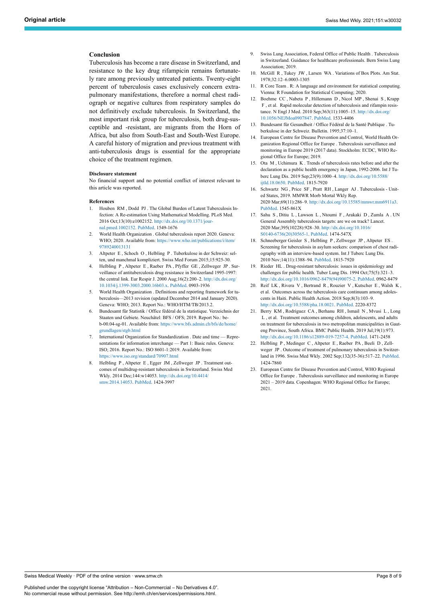## **Conclusion**

Tuberculosis has become a rare disease in Switzerland, and resistance to the key drug rifampicin remains fortunately rare among previously untreated patients. Twenty-eight percent of tuberculosis cases exclusively concern extrapulmonary manifestations, therefore a normal chest radiograph or negative cultures from respiratory samples do not definitively exclude tuberculosis. In Switzerland, the most important risk group for tuberculosis, both drug-susceptible and -resistant, are migrants from the Horn of Africa, but also from South-East and South-West Europe. A careful history of migration and previous treatment with anti-tuberculosis drugs is essential for the appropriate choice of the treatment regimen.

#### **Disclosure statement**

No financial support and no potential conflict of interest relevant to this article was reported.

#### **References**

- 1. Houben RM , Dodd PJ . The Global Burden of Latent Tuberculosis Infection: A Re-estimation Using Mathematical Modelling. PLoS Med. 2016 Oct;13(10):e1002152. [http://dx.doi.org/10.1371/jour](http://dx.doi.org/10.1371/journal.pmed.1002152)[nal.pmed.1002152](http://dx.doi.org/10.1371/journal.pmed.1002152). [PubMed](http://www.ncbi.nlm.nih.gov/entrez/query.fcgi?cmd=Retrieve&db=PubMed&list_uids=27780211&dopt=Abstract). 1549-1676
- 2. World Health Organization . Global tuberculosis report 2020. Geneva: WHO; 2020. Available from: [https://www.who.int/publications/i/item/](https://www.who.int/publications/i/item/9789240013131) [9789240013131](https://www.who.int/publications/i/item/9789240013131)
- 3. Altpeter E , Schoch O , Helbling P . Tuberkulose in der Schweiz: selten, und manchmal kompliziert. Swiss Med Forum 2015;15:925-30.
- 4. Helbling P , Altpeter E , Raeber PA , Pfyffer GE , Zellweger JP . Surveillance of antituberculosis drug resistance in Switzerland 1995-1997: the central link. Eur Respir J. 2000 Aug;16(2):200–2. [http://dx.doi.org/](http://dx.doi.org/10.1034/j.1399-3003.2000.16b03.x) [10.1034/j.1399-3003.2000.16b03.x](http://dx.doi.org/10.1034/j.1399-3003.2000.16b03.x). [PubMed.](http://www.ncbi.nlm.nih.gov/entrez/query.fcgi?cmd=Retrieve&db=PubMed&list_uids=10968491&dopt=Abstract) 0903-1936
- 5. World Health Organization . Definitions and reporting framework for tuberculosis—2013 revision (updated December 2014 and January 2020). Geneva: WHO; 2013. Report No.: WHO/HTM/TB/2013.2.
- 6. Bundesamt für Statistik / Office fédéral de la statistique. Verzeichnis der Staaten und Gebiete. Neuchâtel: BFS / OFS; 2019. Report No.: beb-00.04-sg-01. Available from: [https://www.bfs.admin.ch/bfs/de/home/](https://www.bfs.admin.ch/bfs/de/home/grundlagen/stgb.html) [grundlagen/stgb.html](https://www.bfs.admin.ch/bfs/de/home/grundlagen/stgb.html)
- International Organization for Standardization . Date and time Representations for information interchange — Part 1: Basic rules. Geneva: ISO; 2016. Report No.: ISO 8601-1:2019. Available from: <https://www.iso.org/standard/70907.html>
- 8. Helbling P , Altpeter E , Egger JM , Zellweger JP . Treatment outcomes of multidrug-resistant tuberculosis in Switzerland. Swiss Med Wkly. 2014 Dec;144:w14053. [http://dx.doi.org/10.4414/](http://dx.doi.org/10.4414/smw.2014.14053) [smw.2014.14053.](http://dx.doi.org/10.4414/smw.2014.14053) [PubMed](http://www.ncbi.nlm.nih.gov/entrez/query.fcgi?cmd=Retrieve&db=PubMed&list_uids=25474040&dopt=Abstract). 1424-3997
- Swiss Lung Association, Federal Office of Public Health . Tuberculosis in Switzerland. Guidance for healthcare professionals. Bern Swiss Lung Association; 2019.
- 10. McGill R , Tukey JW , Larsen WA . Variations of Box Plots. Am Stat. 1978;32:12–6.0003-1305
- 11. R Core Team . R: A language and environment for statistical computing. Vienna: R Foundation for Statistical Computing; 2020.
- 12. Boehme CC , Nabeta P , Hillemann D , Nicol MP , Shenai S , Krapp F , et al. Rapid molecular detection of tuberculosis and rifampin resistance. N Engl J Med. 2010 Sep;363(11):1005–15. [http://dx.doi.org/](http://dx.doi.org/10.1056/NEJMoa0907847) [10.1056/NEJMoa0907847.](http://dx.doi.org/10.1056/NEJMoa0907847) [PubMed.](http://www.ncbi.nlm.nih.gov/entrez/query.fcgi?cmd=Retrieve&db=PubMed&list_uids=20825313&dopt=Abstract) 1533-4406
- 13. Bundesamt für Gesundheit / Office Fédéral de la Santé Publique . Tuberkulose in der Schweiz. Bulletin. 1995;37:10–1.
- 14. European Centre for Disease Prevention and Control, World Health Organization Regional Office for Europe . Tuberculosis surveillance and monitoring in Europe 2019 (2017 data). Stockholm: ECDC, WHO Regional Office for Europe; 2019.
- 15. Ota M , Uchimura K . Trends of tuberculosis rates before and after the declaration as a public health emergency in Japan, 1992-2006. Int J Tuberc Lung Dis. 2019 Sep;23(9):1000–4. [http://dx.doi.org/10.5588/](http://dx.doi.org/10.5588/ijtld.18.0650) [ijtld.18.0650.](http://dx.doi.org/10.5588/ijtld.18.0650) [PubMed](http://www.ncbi.nlm.nih.gov/entrez/query.fcgi?cmd=Retrieve&db=PubMed&list_uids=31615607&dopt=Abstract). 1815-7920
- 16. Schwartz NG , Price SF , Pratt RH , Langer AJ . Tuberculosis United States, 2019. MMWR Morb Mortal Wkly Rep. 2020 Mar;69(11):286–9. <http://dx.doi.org/10.15585/mmwr.mm6911a3>. [PubMed](http://www.ncbi.nlm.nih.gov/entrez/query.fcgi?cmd=Retrieve&db=PubMed&list_uids=32191684&dopt=Abstract). 1545-861X
- 17. Sahu S , Ditiu L , Lawson L , Ntoumi F , Arakaki D , Zumla A . UN General Assembly tuberculosis targets: are we on track? Lancet. 2020 Mar;395(10228):928–30. [http://dx.doi.org/10.1016/](http://dx.doi.org/10.1016/S0140-6736(20)30565-1) [S0140-6736\(20\)30565-1.](http://dx.doi.org/10.1016/S0140-6736(20)30565-1) [PubMed](http://www.ncbi.nlm.nih.gov/entrez/query.fcgi?cmd=Retrieve&db=PubMed&list_uids=32199477&dopt=Abstract). 1474-547X
- 18. Schneeberger Geisler S , Helbling P , Zellweger JP , Altpeter ES . Screening for tuberculosis in asylum seekers: comparison of chest radiography with an interview-based system. Int J Tuberc Lung Dis. 2010 Nov;14(11):1388–94. [PubMed](http://www.ncbi.nlm.nih.gov/entrez/query.fcgi?cmd=Retrieve&db=PubMed&list_uids=20937177&dopt=Abstract). 1815-7920
- 19. Rieder HL . Drug-resistant tuberculosis: issues in epidemiology and challenges for public health. Tuber Lung Dis. 1994 Oct;75(5):321–3. [http://dx.doi.org/10.1016/0962-8479\(94\)90075-2.](http://dx.doi.org/10.1016/0962-8479(94)90075-2) [PubMed.](http://www.ncbi.nlm.nih.gov/entrez/query.fcgi?cmd=Retrieve&db=PubMed&list_uids=7841423&dopt=Abstract) 0962-8479
- 20. Reif LK , Rivera V , Bertrand R , Rouzier V , Kutscher E , Walsh K , et al. Outcomes across the tuberculosis care continuum among adolescents in Haiti. Public Health Action. 2018 Sep;8(3):103–9. <http://dx.doi.org/10.5588/pha.18.0021>. [PubMed](http://www.ncbi.nlm.nih.gov/entrez/query.fcgi?cmd=Retrieve&db=PubMed&list_uids=30271725&dopt=Abstract). 2220-8372
- 21. Berry KM , Rodriguez CA , Berhanu RH , Ismail N , Mvusi L , Long L , et al. Treatment outcomes among children, adolescents, and adults on treatment for tuberculosis in two metropolitan municipalities in Gauteng Province, South Africa. BMC Public Health. 2019 Jul;19(1):973. [http://dx.doi.org/10.1186/s12889-019-7257-4.](http://dx.doi.org/10.1186/s12889-019-7257-4) [PubMed.](http://www.ncbi.nlm.nih.gov/entrez/query.fcgi?cmd=Retrieve&db=PubMed&list_uids=31331311&dopt=Abstract) 1471-2458
- 22. Helbling P , Medinger C , Altpeter E , Raeber PA , Beeli D , Zellweger JP . Outcome of treatment of pulmonary tuberculosis in Switzerland in 1996. Swiss Med Wkly. 2002 Sep;132(35-36):517–22. [PubMed](http://www.ncbi.nlm.nih.gov/entrez/query.fcgi?cmd=Retrieve&db=PubMed&list_uids=12506334&dopt=Abstract). 1424-7860
- 23. European Centre for Disease Prevention and Control, WHO Regional Office for Europe . Tuberculosis surveillance and monitoring in Europe 2021 – 2019 data. Copenhagen: WHO Regional Office for Europe; 2021.

Swiss Medical Weekly · PDF of the online version · www.smw.ch